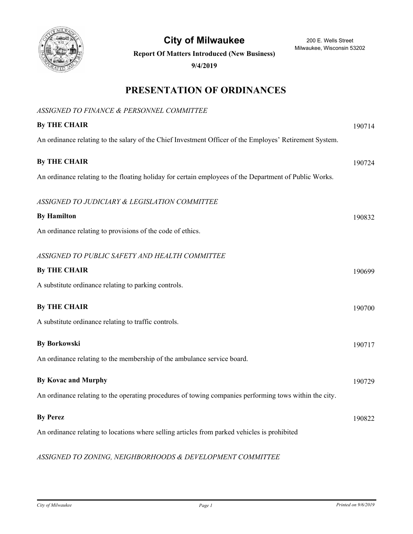

City of Milwaukee 200 E. Wells Street

Milwaukee, Wisconsin 53202

**Report Of Matters Introduced (New Business)**

**9/4/2019**

# **PRESENTATION OF ORDINANCES**

| ASSIGNED TO FINANCE & PERSONNEL COMMITTEE                                                               |        |
|---------------------------------------------------------------------------------------------------------|--------|
| <b>By THE CHAIR</b>                                                                                     | 190714 |
| An ordinance relating to the salary of the Chief Investment Officer of the Employes' Retirement System. |        |
| <b>By THE CHAIR</b>                                                                                     | 190724 |
| An ordinance relating to the floating holiday for certain employees of the Department of Public Works.  |        |
| ASSIGNED TO JUDICIARY & LEGISLATION COMMITTEE                                                           |        |
| <b>By Hamilton</b>                                                                                      | 190832 |
| An ordinance relating to provisions of the code of ethics.                                              |        |
| ASSIGNED TO PUBLIC SAFETY AND HEALTH COMMITTEE                                                          |        |
| <b>By THE CHAIR</b>                                                                                     | 190699 |
| A substitute ordinance relating to parking controls.                                                    |        |
| <b>By THE CHAIR</b>                                                                                     | 190700 |
| A substitute ordinance relating to traffic controls.                                                    |        |
| <b>By Borkowski</b>                                                                                     | 190717 |
| An ordinance relating to the membership of the ambulance service board.                                 |        |
| <b>By Kovac and Murphy</b>                                                                              | 190729 |
| An ordinance relating to the operating procedures of towing companies performing tows within the city.  |        |
| <b>By Perez</b>                                                                                         | 190822 |
| An ordinance relating to locations where selling articles from parked vehicles is prohibited            |        |
|                                                                                                         |        |

# *ASSIGNED TO ZONING, NEIGHBORHOODS & DEVELOPMENT COMMITTEE*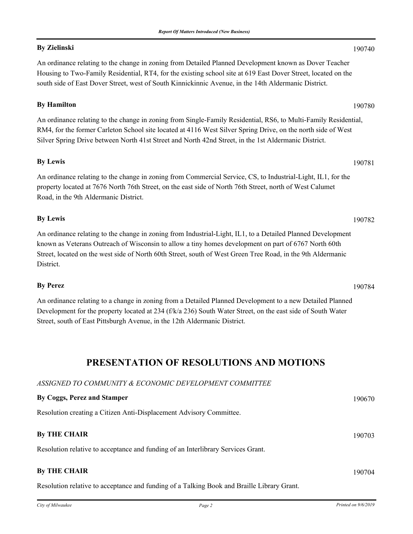# **By Zielinski** 190740

An ordinance relating to the change in zoning from Detailed Planned Development known as Dover Teacher Housing to Two-Family Residential, RT4, for the existing school site at 619 East Dover Street, located on the south side of East Dover Street, west of South Kinnickinnic Avenue, in the 14th Aldermanic District.

### **By Hamilton** 190780

An ordinance relating to the change in zoning from Single-Family Residential, RS6, to Multi-Family Residential, RM4, for the former Carleton School site located at 4116 West Silver Spring Drive, on the north side of West Silver Spring Drive between North 41st Street and North 42nd Street, in the 1st Aldermanic District.

# **By Lewis** 190781

An ordinance relating to the change in zoning from Commercial Service, CS, to Industrial-Light, IL1, for the property located at 7676 North 76th Street, on the east side of North 76th Street, north of West Calumet Road, in the 9th Aldermanic District.

## **By Lewis** 190782

An ordinance relating to the change in zoning from Industrial-Light, IL1, to a Detailed Planned Development known as Veterans Outreach of Wisconsin to allow a tiny homes development on part of 6767 North 60th Street, located on the west side of North 60th Street, south of West Green Tree Road, in the 9th Aldermanic District.

# **By Perez** 190784

An ordinance relating to a change in zoning from a Detailed Planned Development to a new Detailed Planned Development for the property located at 234 (f/k/a 236) South Water Street, on the east side of South Water Street, south of East Pittsburgh Avenue, in the 12th Aldermanic District.

# **PRESENTATION OF RESOLUTIONS AND MOTIONS**

#### *ASSIGNED TO COMMUNITY & ECONOMIC DEVELOPMENT COMMITTEE*

| By Coggs, Perez and Stamper                                                                                                                                                                                                       | 190670 |
|-----------------------------------------------------------------------------------------------------------------------------------------------------------------------------------------------------------------------------------|--------|
| Resolution creating a Citizen Anti-Displacement Advisory Committee.                                                                                                                                                               |        |
| <b>By THE CHAIR</b>                                                                                                                                                                                                               | 190703 |
| Resolution relative to acceptance and funding of an Interlibrary Services Grant.                                                                                                                                                  |        |
| <b>By THE CHAIR</b>                                                                                                                                                                                                               | 190704 |
| $\mathbf{r}$ , the state of the state of the state of the state of the state of the state of the state of the state of the state of the state of the state of the state of the state of the state of the state of the state of th |        |

Resolution relative to acceptance and funding of a Talking Book and Braille Library Grant.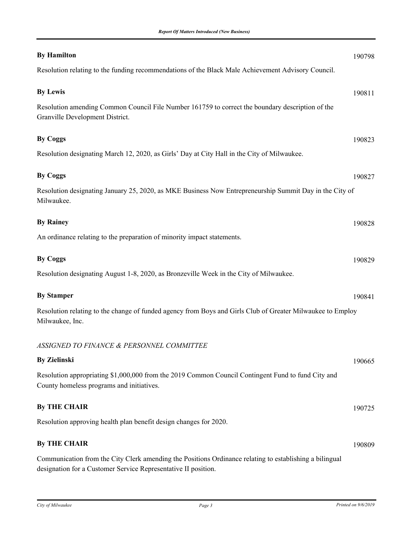| <b>By Hamilton</b>                                                                                                                                                        | 190798 |
|---------------------------------------------------------------------------------------------------------------------------------------------------------------------------|--------|
| Resolution relating to the funding recommendations of the Black Male Achievement Advisory Council.                                                                        |        |
| <b>By Lewis</b>                                                                                                                                                           | 190811 |
|                                                                                                                                                                           |        |
| Resolution amending Common Council File Number 161759 to correct the boundary description of the<br>Granville Development District.                                       |        |
| <b>By Coggs</b>                                                                                                                                                           | 190823 |
| Resolution designating March 12, 2020, as Girls' Day at City Hall in the City of Milwaukee.                                                                               |        |
| <b>By Coggs</b>                                                                                                                                                           | 190827 |
| Resolution designating January 25, 2020, as MKE Business Now Entrepreneurship Summit Day in the City of                                                                   |        |
| Milwaukee.                                                                                                                                                                |        |
| <b>By Rainey</b>                                                                                                                                                          | 190828 |
| An ordinance relating to the preparation of minority impact statements.                                                                                                   |        |
| <b>By Coggs</b>                                                                                                                                                           | 190829 |
| Resolution designating August 1-8, 2020, as Bronzeville Week in the City of Milwaukee.                                                                                    |        |
| <b>By Stamper</b>                                                                                                                                                         | 190841 |
| Resolution relating to the change of funded agency from Boys and Girls Club of Greater Milwaukee to Employ<br>Milwaukee, Inc.                                             |        |
| ASSIGNED TO FINANCE & PERSONNEL COMMITTEE                                                                                                                                 |        |
| <b>By Zielinski</b>                                                                                                                                                       | 190665 |
| Resolution appropriating \$1,000,000 from the 2019 Common Council Contingent Fund to fund City and<br>County homeless programs and initiatives.                           |        |
| <b>By THE CHAIR</b>                                                                                                                                                       | 190725 |
| Resolution approving health plan benefit design changes for 2020.                                                                                                         |        |
| <b>By THE CHAIR</b>                                                                                                                                                       | 190809 |
| Communication from the City Clerk amending the Positions Ordinance relating to establishing a bilingual<br>designation for a Customer Service Representative II position. |        |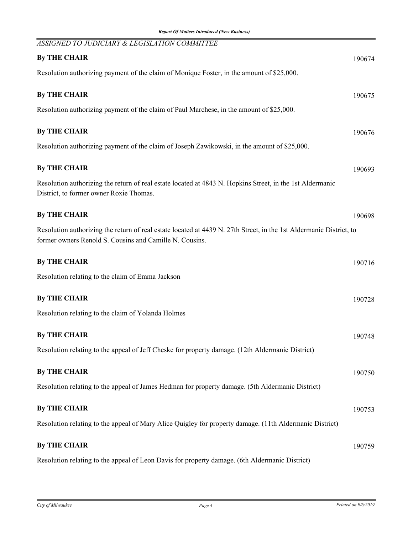| ASSIGNED TO JUDICIARY & LEGISLATION COMMITTEE                                                                                                                                  |        |
|--------------------------------------------------------------------------------------------------------------------------------------------------------------------------------|--------|
| <b>By THE CHAIR</b>                                                                                                                                                            | 190674 |
| Resolution authorizing payment of the claim of Monique Foster, in the amount of \$25,000.                                                                                      |        |
| <b>By THE CHAIR</b>                                                                                                                                                            | 190675 |
| Resolution authorizing payment of the claim of Paul Marchese, in the amount of \$25,000.                                                                                       |        |
|                                                                                                                                                                                |        |
| <b>By THE CHAIR</b>                                                                                                                                                            | 190676 |
| Resolution authorizing payment of the claim of Joseph Zawikowski, in the amount of \$25,000.                                                                                   |        |
| <b>By THE CHAIR</b>                                                                                                                                                            | 190693 |
| Resolution authorizing the return of real estate located at 4843 N. Hopkins Street, in the 1st Aldermanic<br>District, to former owner Roxie Thomas.                           |        |
| <b>By THE CHAIR</b>                                                                                                                                                            | 190698 |
| Resolution authorizing the return of real estate located at 4439 N. 27th Street, in the 1st Aldermanic District, to<br>former owners Renold S. Cousins and Camille N. Cousins. |        |
| <b>By THE CHAIR</b>                                                                                                                                                            | 190716 |
| Resolution relating to the claim of Emma Jackson                                                                                                                               |        |
| <b>By THE CHAIR</b>                                                                                                                                                            | 190728 |
| Resolution relating to the claim of Yolanda Holmes                                                                                                                             |        |
| <b>By THE CHAIR</b>                                                                                                                                                            | 190748 |
| Resolution relating to the appeal of Jeff Cheske for property damage. (12th Aldermanic District)                                                                               |        |
| <b>By THE CHAIR</b>                                                                                                                                                            | 190750 |
| Resolution relating to the appeal of James Hedman for property damage. (5th Aldermanic District)                                                                               |        |
| <b>By THE CHAIR</b>                                                                                                                                                            | 190753 |
|                                                                                                                                                                                |        |
| Resolution relating to the appeal of Mary Alice Quigley for property damage. (11th Aldermanic District)                                                                        |        |
| <b>By THE CHAIR</b>                                                                                                                                                            | 190759 |
| Resolution relating to the appeal of Leon Davis for property damage. (6th Aldermanic District)                                                                                 |        |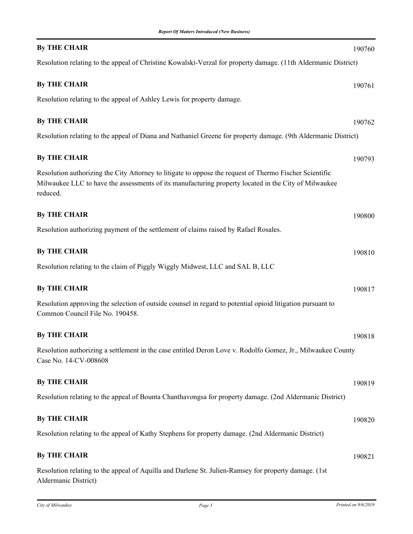| <b>By THE CHAIR</b>                                                                                                                                                                                                         | 190760 |
|-----------------------------------------------------------------------------------------------------------------------------------------------------------------------------------------------------------------------------|--------|
| Resolution relating to the appeal of Christine Kowalski-Verzal for property damage. (11th Aldermanic District)                                                                                                              |        |
| <b>By THE CHAIR</b>                                                                                                                                                                                                         | 190761 |
| Resolution relating to the appeal of Ashley Lewis for property damage.                                                                                                                                                      |        |
| <b>By THE CHAIR</b>                                                                                                                                                                                                         | 190762 |
| Resolution relating to the appeal of Diana and Nathaniel Greene for property damage. (9th Aldermanic District)                                                                                                              |        |
| <b>By THE CHAIR</b>                                                                                                                                                                                                         | 190793 |
| Resolution authorizing the City Attorney to litigate to oppose the request of Thermo Fischer Scientific<br>Milwaukee LLC to have the assessments of its manufacturing property located in the City of Milwaukee<br>reduced. |        |
| <b>By THE CHAIR</b>                                                                                                                                                                                                         | 190800 |
| Resolution authorizing payment of the settlement of claims raised by Rafael Rosales.                                                                                                                                        |        |
| <b>By THE CHAIR</b>                                                                                                                                                                                                         | 190810 |
| Resolution relating to the claim of Piggly Wiggly Midwest, LLC and SAL B, LLC                                                                                                                                               |        |
| <b>By THE CHAIR</b>                                                                                                                                                                                                         | 190817 |
| Resolution approving the selection of outside counsel in regard to potential opioid litigation pursuant to<br>Common Council File No. 190458.                                                                               |        |
| <b>By THE CHAIR</b>                                                                                                                                                                                                         | 190818 |
| Resolution authorizing a settlement in the case entitled Deron Love v. Rodolfo Gomez, Jr., Milwaukee County<br>Case No. 14-CV-008608                                                                                        |        |
| <b>By THE CHAIR</b>                                                                                                                                                                                                         | 190819 |
| Resolution relating to the appeal of Bounta Chanthavongsa for property damage. (2nd Aldermanic District)                                                                                                                    |        |
| <b>By THE CHAIR</b>                                                                                                                                                                                                         | 190820 |
| Resolution relating to the appeal of Kathy Stephens for property damage. (2nd Aldermanic District)                                                                                                                          |        |
| <b>By THE CHAIR</b>                                                                                                                                                                                                         | 190821 |
| Resolution relating to the appeal of Aquilla and Darlene St. Julien-Ramsey for property damage. (1st<br>Aldermanic District)                                                                                                |        |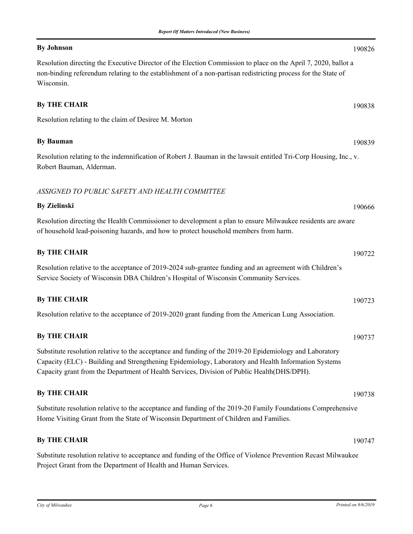### **By Johnson** 190826

Resolution directing the Executive Director of the Election Commission to place on the April 7, 2020, ballot a non-binding referendum relating to the establishment of a non-partisan redistricting process for the State of Wisconsin.

#### **By THE CHAIR** 190838

Resolution relating to the claim of Desiree M. Morton

# **By Bauman** 190839

Resolution relating to the indemnification of Robert J. Bauman in the lawsuit entitled Tri-Corp Housing, Inc., v. Robert Bauman, Alderman.

### *ASSIGNED TO PUBLIC SAFETY AND HEALTH COMMITTEE*

# **By Zielinski** 190666

Resolution directing the Health Commissioner to development a plan to ensure Milwaukee residents are aware of household lead-poisoning hazards, and how to protect household members from harm.

| <b>By THE CHAIR</b>                                                                                     | 190722 |
|---------------------------------------------------------------------------------------------------------|--------|
| Resolution relative to the acceptance of 2019-2024 sub-grantee funding and an agreement with Children's |        |
| Service Society of Wisconsin DBA Children's Hospital of Wisconsin Community Services.                   |        |
| <b>By THE CHAIR</b>                                                                                     | 190723 |

Resolution relative to the acceptance of 2019-2020 grant funding from the American Lung Association.

### **By THE CHAIR** 190737

Substitute resolution relative to the acceptance and funding of the 2019-20 Epidemiology and Laboratory Capacity (ELC) - Building and Strengthening Epidemiology, Laboratory and Health Information Systems Capacity grant from the Department of Health Services, Division of Public Health(DHS/DPH).

### **By THE CHAIR** 190738

Substitute resolution relative to the acceptance and funding of the 2019-20 Family Foundations Comprehensive Home Visiting Grant from the State of Wisconsin Department of Children and Families.

### **By THE CHAIR** 190747

Substitute resolution relative to acceptance and funding of the Office of Violence Prevention Recast Milwaukee Project Grant from the Department of Health and Human Services.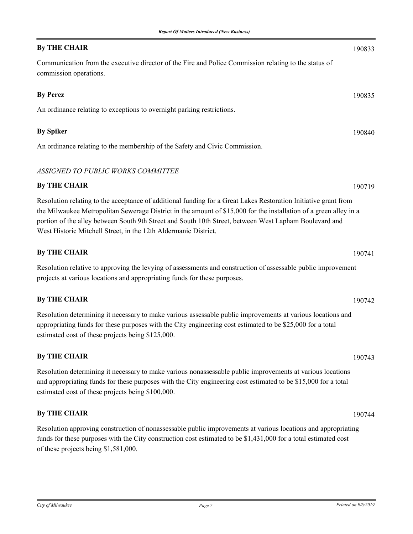### **By THE CHAIR** 190833

Communication from the executive director of the Fire and Police Commission relating to the status of commission operations.

# **By Perez** 190835 An ordinance relating to exceptions to overnight parking restrictions. **By Spiker** 190840

An ordinance relating to the membership of the Safety and Civic Commission.

### *ASSIGNED TO PUBLIC WORKS COMMITTEE*

### **By THE CHAIR** 190719

Resolution relating to the acceptance of additional funding for a Great Lakes Restoration Initiative grant from the Milwaukee Metropolitan Sewerage District in the amount of \$15,000 for the installation of a green alley in a portion of the alley between South 9th Street and South 10th Street, between West Lapham Boulevard and West Historic Mitchell Street, in the 12th Aldermanic District.

### **By THE CHAIR** 190741

Resolution relative to approving the levying of assessments and construction of assessable public improvement projects at various locations and appropriating funds for these purposes.

### **By THE CHAIR** 190742

Resolution determining it necessary to make various assessable public improvements at various locations and appropriating funds for these purposes with the City engineering cost estimated to be \$25,000 for a total estimated cost of these projects being \$125,000.

### **By THE CHAIR** 190743

Resolution determining it necessary to make various nonassessable public improvements at various locations and appropriating funds for these purposes with the City engineering cost estimated to be \$15,000 for a total estimated cost of these projects being \$100,000.

### **By THE CHAIR** 190744

Resolution approving construction of nonassessable public improvements at various locations and appropriating funds for these purposes with the City construction cost estimated to be \$1,431,000 for a total estimated cost of these projects being \$1,581,000.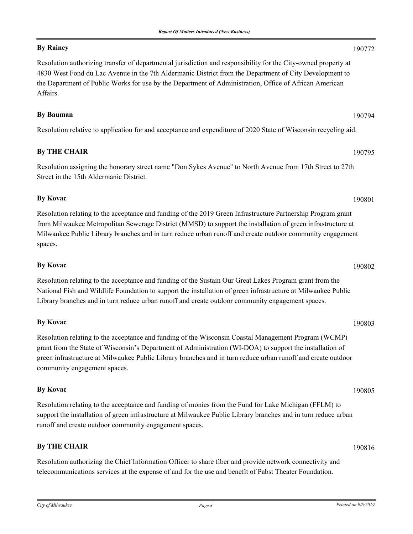### **By Rainey** 190772

Resolution authorizing transfer of departmental jurisdiction and responsibility for the City-owned property at 4830 West Fond du Lac Avenue in the 7th Aldermanic District from the Department of City Development to the Department of Public Works for use by the Department of Administration, Office of African American Affairs.

### **By Bauman** 190794

Resolution relative to application for and acceptance and expenditure of 2020 State of Wisconsin recycling aid.

### **By THE CHAIR** 190795

Resolution assigning the honorary street name "Don Sykes Avenue" to North Avenue from 17th Street to 27th Street in the 15th Aldermanic District.

# **By Kovac** 190801

Resolution relating to the acceptance and funding of the 2019 Green Infrastructure Partnership Program grant from Milwaukee Metropolitan Sewerage District (MMSD) to support the installation of green infrastructure at Milwaukee Public Library branches and in turn reduce urban runoff and create outdoor community engagement spaces.

# **By Kovac** 190802

Resolution relating to the acceptance and funding of the Sustain Our Great Lakes Program grant from the National Fish and Wildlife Foundation to support the installation of green infrastructure at Milwaukee Public Library branches and in turn reduce urban runoff and create outdoor community engagement spaces.

# **By Kovac** 190803

Resolution relating to the acceptance and funding of the Wisconsin Coastal Management Program (WCMP) grant from the State of Wisconsin's Department of Administration (WI-DOA) to support the installation of green infrastructure at Milwaukee Public Library branches and in turn reduce urban runoff and create outdoor community engagement spaces.

## **By Kovac** 190805

Resolution relating to the acceptance and funding of monies from the Fund for Lake Michigan (FFLM) to support the installation of green infrastructure at Milwaukee Public Library branches and in turn reduce urban runoff and create outdoor community engagement spaces.

### **By THE CHAIR** 190816

Resolution authorizing the Chief Information Officer to share fiber and provide network connectivity and telecommunications services at the expense of and for the use and benefit of Pabst Theater Foundation.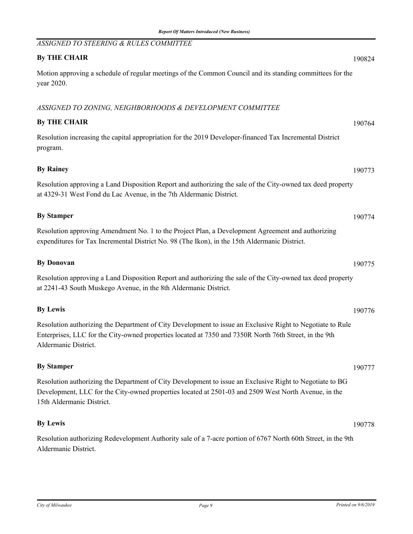Aldermanic District.

# *ASSIGNED TO STEERING & RULES COMMITTEE* **By THE CHAIR** 190824 Motion approving a schedule of regular meetings of the Common Council and its standing committees for the year 2020. *ASSIGNED TO ZONING, NEIGHBORHOODS & DEVELOPMENT COMMITTEE* **By THE CHAIR** 190764 Resolution increasing the capital appropriation for the 2019 Developer-financed Tax Incremental District program. **By Rainey** 190773 Resolution approving a Land Disposition Report and authorizing the sale of the City-owned tax deed property at 4329-31 West Fond du Lac Avenue, in the 7th Aldermanic District. **By Stamper** 190774 Resolution approving Amendment No. 1 to the Project Plan, a Development Agreement and authorizing expenditures for Tax Incremental District No. 98 (The Ikon), in the 15th Aldermanic District. **By Donovan** 190775 Resolution approving a Land Disposition Report and authorizing the sale of the City-owned tax deed property at 2241-43 South Muskego Avenue, in the 8th Aldermanic District. **By Lewis** 190776 Resolution authorizing the Department of City Development to issue an Exclusive Right to Negotiate to Rule Enterprises, LLC for the City-owned properties located at 7350 and 7350R North 76th Street, in the 9th Aldermanic District. **By Stamper** 190777 Resolution authorizing the Department of City Development to issue an Exclusive Right to Negotiate to BG Development, LLC for the City-owned properties located at 2501-03 and 2509 West North Avenue, in the 15th Aldermanic District. **By Lewis** 190778 Resolution authorizing Redevelopment Authority sale of a 7-acre portion of 6767 North 60th Street, in the 9th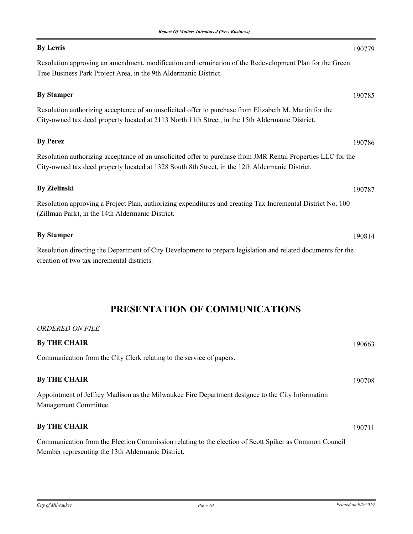# **By Lewis** 190779

Resolution approving an amendment, modification and termination of the Redevelopment Plan for the Green Tree Business Park Project Area, in the 9th Aldermanic District.

# **By Stamper** 190785

Resolution authorizing acceptance of an unsolicited offer to purchase from Elizabeth M. Martin for the City-owned tax deed property located at 2113 North 11th Street, in the 15th Aldermanic District.

# **By Perez** 190786

Resolution authorizing acceptance of an unsolicited offer to purchase from JMR Rental Properties LLC for the City-owned tax deed property located at 1328 South 8th Street, in the 12th Aldermanic District.

# **By Zielinski** 190787

Resolution approving a Project Plan, authorizing expenditures and creating Tax Incremental District No. 100 (Zillman Park), in the 14th Aldermanic District.

## **By Stamper** 190814

Resolution directing the Department of City Development to prepare legislation and related documents for the creation of two tax incremental districts.

# **PRESENTATION OF COMMUNICATIONS**

| <b>ORDERED ON FILE</b>                                                                                                                                     |        |
|------------------------------------------------------------------------------------------------------------------------------------------------------------|--------|
| <b>By THE CHAIR</b>                                                                                                                                        | 190663 |
| Communication from the City Clerk relating to the service of papers.                                                                                       |        |
| <b>By THE CHAIR</b>                                                                                                                                        | 190708 |
| Appointment of Jeffrey Madison as the Milwaukee Fire Department designee to the City Information<br>Management Committee.                                  |        |
| <b>By THE CHAIR</b>                                                                                                                                        | 190711 |
| Communication from the Election Commission relating to the election of Scott Spiker as Common Council<br>Member representing the 13th Aldermanic District. |        |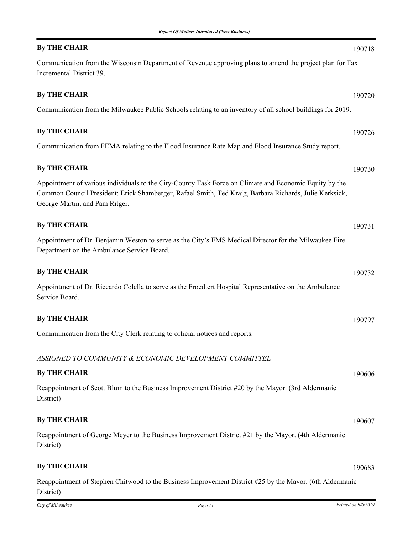### **By THE CHAIR** 190718

Communication from the Wisconsin Department of Revenue approving plans to amend the project plan for Tax Incremental District 39.

### **By THE CHAIR** 190720

Communication from the Milwaukee Public Schools relating to an inventory of all school buildings for 2019.

#### **By THE CHAIR** 190726

Communication from FEMA relating to the Flood Insurance Rate Map and Flood Insurance Study report.

#### **By THE CHAIR** 190730

Appointment of various individuals to the City-County Task Force on Climate and Economic Equity by the Common Council President: Erick Shamberger, Rafael Smith, Ted Kraig, Barbara Richards, Julie Kerksick, George Martin, and Pam Ritger.

| <b>By THE CHAIR</b>                                                                                                                                 | 190731 |
|-----------------------------------------------------------------------------------------------------------------------------------------------------|--------|
| Appointment of Dr. Benjamin Weston to serve as the City's EMS Medical Director for the Milwaukee Fire<br>Department on the Ambulance Service Board. |        |
|                                                                                                                                                     |        |

# **By THE CHAIR** 190732

Appointment of Dr. Riccardo Colella to serve as the Froedtert Hospital Representative on the Ambulance Service Board.

# **By THE CHAIR** 190797

Communication from the City Clerk relating to official notices and reports.

*ASSIGNED TO COMMUNITY & ECONOMIC DEVELOPMENT COMMITTEE*

### **By THE CHAIR** 190606

Reappointment of Scott Blum to the Business Improvement District #20 by the Mayor. (3rd Aldermanic District)

### **By THE CHAIR** 190607

Reappointment of George Meyer to the Business Improvement District #21 by the Mayor. (4th Aldermanic District)

# **By THE CHAIR** 190683

Reappointment of Stephen Chitwood to the Business Improvement District #25 by the Mayor. (6th Aldermanic District)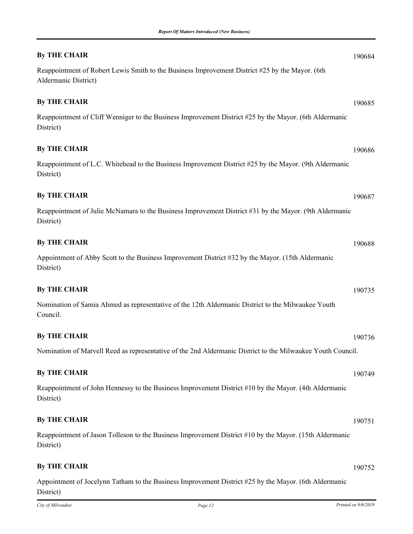| <b>By THE CHAIR</b>                                                                                                     | 190684 |
|-------------------------------------------------------------------------------------------------------------------------|--------|
| Reappointment of Robert Lewis Smith to the Business Improvement District #25 by the Mayor. (6th<br>Aldermanic District) |        |
| <b>By THE CHAIR</b>                                                                                                     | 190685 |
| Reappointment of Cliff Wenniger to the Business Improvement District #25 by the Mayor. (6th Aldermanic<br>District)     |        |
| <b>By THE CHAIR</b>                                                                                                     | 190686 |
| Reappointment of L.C. Whitehead to the Business Improvement District #25 by the Mayor. (9th Aldermanic<br>District)     |        |
| <b>By THE CHAIR</b>                                                                                                     | 190687 |
| Reappointment of Julie McNamara to the Business Improvement District #31 by the Mayor. (9th Aldermanic<br>District)     |        |
| <b>By THE CHAIR</b>                                                                                                     | 190688 |
| Appointment of Abby Scott to the Business Improvement District #32 by the Mayor. (15th Aldermanic<br>District)          |        |
| <b>By THE CHAIR</b>                                                                                                     | 190735 |
| Nomination of Samia Ahmed as representative of the 12th Aldermanic District to the Milwaukee Youth<br>Council.          |        |
| <b>By THE CHAIR</b>                                                                                                     | 190736 |
| Nomination of Marvell Reed as representative of the 2nd Aldermanic District to the Milwaukee Youth Council.             |        |
| <b>By THE CHAIR</b>                                                                                                     | 190749 |
| Reappointment of John Hennessy to the Business Improvement District #10 by the Mayor. (4th Aldermanic<br>District)      |        |
| <b>By THE CHAIR</b>                                                                                                     | 190751 |
| Reappointment of Jason Tolleson to the Business Improvement District #10 by the Mayor. (15th Aldermanic<br>District)    |        |
| <b>By THE CHAIR</b>                                                                                                     | 190752 |
| Appointment of Jocelynn Tatham to the Business Improvement District #25 by the Mayor. (6th Aldermanic                   |        |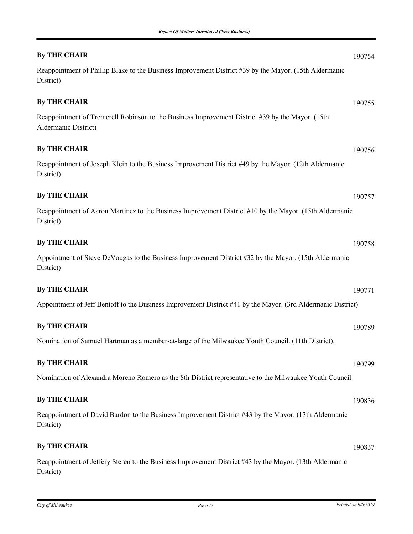| <b>By THE CHAIR</b>                                                                                                      | 190754 |
|--------------------------------------------------------------------------------------------------------------------------|--------|
| Reappointment of Phillip Blake to the Business Improvement District #39 by the Mayor. (15th Aldermanic<br>District)      |        |
| <b>By THE CHAIR</b>                                                                                                      | 190755 |
| Reappointment of Tremerell Robinson to the Business Improvement District #39 by the Mayor. (15th<br>Aldermanic District) |        |
| <b>By THE CHAIR</b>                                                                                                      | 190756 |
| Reappointment of Joseph Klein to the Business Improvement District #49 by the Mayor. (12th Aldermanic<br>District)       |        |
| <b>By THE CHAIR</b>                                                                                                      | 190757 |
| Reappointment of Aaron Martinez to the Business Improvement District #10 by the Mayor. (15th Aldermanic<br>District)     |        |
| <b>By THE CHAIR</b>                                                                                                      | 190758 |
| Appointment of Steve DeVougas to the Business Improvement District #32 by the Mayor. (15th Aldermanic<br>District)       |        |
| <b>By THE CHAIR</b>                                                                                                      | 190771 |
| Appointment of Jeff Bentoff to the Business Improvement District #41 by the Mayor. (3rd Aldermanic District)             |        |
| <b>By THE CHAIR</b>                                                                                                      | 190789 |
| Nomination of Samuel Hartman as a member-at-large of the Milwaukee Youth Council. (11th District).                       |        |
| <b>By THE CHAIR</b>                                                                                                      | 190799 |
| Nomination of Alexandra Moreno Romero as the 8th District representative to the Milwaukee Youth Council.                 |        |
| <b>By THE CHAIR</b>                                                                                                      | 190836 |
| Reappointment of David Bardon to the Business Improvement District #43 by the Mayor. (13th Aldermanic<br>District)       |        |
| <b>By THE CHAIR</b>                                                                                                      | 190837 |
| Reappointment of Jeffery Steren to the Business Improvement District #43 by the Mayor. (13th Aldermanic<br>District)     |        |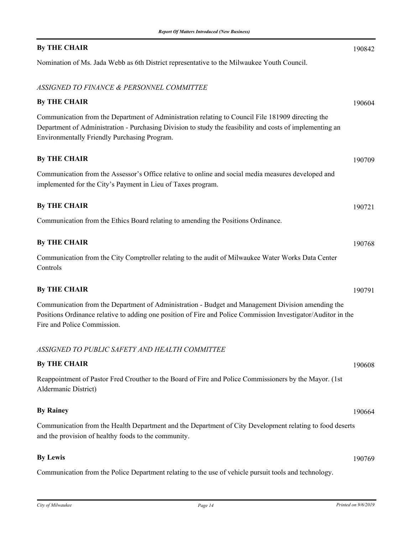# **By THE CHAIR** 190842

Nomination of Ms. Jada Webb as 6th District representative to the Milwaukee Youth Council.

### *ASSIGNED TO FINANCE & PERSONNEL COMMITTEE*

| <b>By THE CHAIR</b>                                                                                                                                                                                                                                           | 190604 |
|---------------------------------------------------------------------------------------------------------------------------------------------------------------------------------------------------------------------------------------------------------------|--------|
| Communication from the Department of Administration relating to Council File 181909 directing the<br>Department of Administration - Purchasing Division to study the feasibility and costs of implementing an<br>Environmentally Friendly Purchasing Program. |        |
| <b>By THE CHAIR</b>                                                                                                                                                                                                                                           | 190709 |
| Communication from the Assessor's Office relative to online and social media measures developed and<br>implemented for the City's Payment in Lieu of Taxes program.                                                                                           |        |
| <b>By THE CHAIR</b>                                                                                                                                                                                                                                           | 190721 |
| Communication from the Ethics Board relating to amending the Positions Ordinance.                                                                                                                                                                             |        |
| <b>By THE CHAIR</b>                                                                                                                                                                                                                                           | 190768 |
| Communication from the City Comptroller relating to the audit of Milwaukee Water Works Data Center<br>Controls                                                                                                                                                |        |
| <b>By THE CHAIR</b>                                                                                                                                                                                                                                           | 190791 |
| Communication from the Department of Administration - Budget and Management Division amending the<br>Positions Ordinance relative to adding one position of Fire and Police Commission Investigator/Auditor in the<br>Fire and Police Commission.             |        |
| ASSIGNED TO PUBLIC SAFETY AND HEALTH COMMITTEE                                                                                                                                                                                                                |        |
| <b>By THE CHAIR</b>                                                                                                                                                                                                                                           | 190608 |
| Reappointment of Pastor Fred Crouther to the Board of Fire and Police Commissioners by the Mayor. (1st<br>Aldermanic District)                                                                                                                                |        |
| <b>By Rainey</b>                                                                                                                                                                                                                                              | 190664 |
| Communication from the Health Department and the Department of City Development relating to food deserts<br>and the provision of healthy foods to the community.                                                                                              |        |
| <b>By Lewis</b>                                                                                                                                                                                                                                               | 190769 |
| Communication from the Police Department relating to the use of vehicle pursuit tools and technology.                                                                                                                                                         |        |